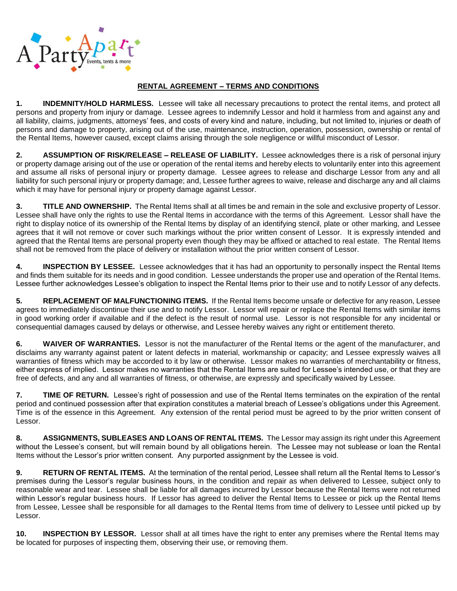

## **RENTAL AGREEMENT – TERMS AND CONDITIONS**

**1. INDEMNITY/HOLD HARMLESS.** Lessee will take all necessary precautions to protect the rental items, and protect all persons and property from injury or damage. Lessee agrees to indemnify Lessor and hold it harmless from and against any and all liability, claims, judgments, attorneys' fees, and costs of every kind and nature, including, but not limited to, injuries or death of persons and damage to property, arising out of the use, maintenance, instruction, operation, possession, ownership or rental of the Rental Items, however caused, except claims arising through the sole negligence or willful misconduct of Lessor.

**2. ASSUMPTION OF RISK/RELEASE – RELEASE OF LIABILITY.** Lessee acknowledges there is a risk of personal injury or property damage arising out of the use or operation of the rental items and hereby elects to voluntarily enter into this agreement and assume all risks of personal injury or property damage. Lessee agrees to release and discharge Lessor from any and all liability for such personal injury or property damage; and, Lessee further agrees to waive, release and discharge any and all claims which it may have for personal injury or property damage against Lessor.

**3. TITLE AND OWNERSHIP.** The Rental Items shall at all times be and remain in the sole and exclusive property of Lessor. Lessee shall have only the rights to use the Rental Items in accordance with the terms of this Agreement. Lessor shall have the right to display notice of its ownership of the Rental Items by display of an identifying stencil, plate or other marking, and Lessee agrees that it will not remove or cover such markings without the prior written consent of Lessor. It is expressly intended and agreed that the Rental Items are personal property even though they may be affixed or attached to real estate. The Rental Items shall not be removed from the place of delivery or installation without the prior written consent of Lessor.

**4. INSPECTION BY LESSEE.** Lessee acknowledges that it has had an opportunity to personally inspect the Rental Items and finds them suitable for its needs and in good condition. Lessee understands the proper use and operation of the Rental Items. Lessee further acknowledges Lessee's obligation to inspect the Rental Items prior to their use and to notify Lessor of any defects.

**5. REPLACEMENT OF MALFUNCTIONING ITEMS.** If the Rental Items become unsafe or defective for any reason, Lessee agrees to immediately discontinue their use and to notify Lessor. Lessor will repair or replace the Rental Items with similar items in good working order if available and if the defect is the result of normal use. Lessor is not responsible for any incidental or consequential damages caused by delays or otherwise, and Lessee hereby waives any right or entitlement thereto.

**6. WAIVER OF WARRANTIES.** Lessor is not the manufacturer of the Rental Items or the agent of the manufacturer, and disclaims any warranty against patent or latent defects in material, workmanship or capacity; and Lessee expressly waives all warranties of fitness which may be accorded to it by law or otherwise. Lessor makes no warranties of merchantability or fitness, either express of implied. Lessor makes no warranties that the Rental Items are suited for Lessee's intended use, or that they are free of defects, and any and all warranties of fitness, or otherwise, are expressly and specifically waived by Lessee.

**7. TIME OF RETURN.** Lessee's right of possession and use of the Rental Items terminates on the expiration of the rental period and continued possession after that expiration constitutes a material breach of Lessee's obligations under this Agreement. Time is of the essence in this Agreement. Any extension of the rental period must be agreed to by the prior written consent of Lessor.

**8. ASSIGNMENTS, SUBLEASES AND LOANS OF RENTAL ITEMS.** The Lessor may assign its right under this Agreement without the Lessee's consent, but will remain bound by all obligations herein. The Lessee may not sublease or loan the Rental Items without the Lessor's prior written consent. Any purported assignment by the Lessee is void.

**9. RETURN OF RENTAL ITEMS.** At the termination of the rental period, Lessee shall return all the Rental Items to Lessor's premises during the Lessor's regular business hours, in the condition and repair as when delivered to Lessee, subject only to reasonable wear and tear. Lessee shall be liable for all damages incurred by Lessor because the Rental Items were not returned within Lessor's regular business hours. If Lessor has agreed to deliver the Rental Items to Lessee or pick up the Rental Items from Lessee, Lessee shall be responsible for all damages to the Rental Items from time of delivery to Lessee until picked up by Lessor.

**10. INSPECTION BY LESSOR.** Lessor shall at all times have the right to enter any premises where the Rental Items may be located for purposes of inspecting them, observing their use, or removing them.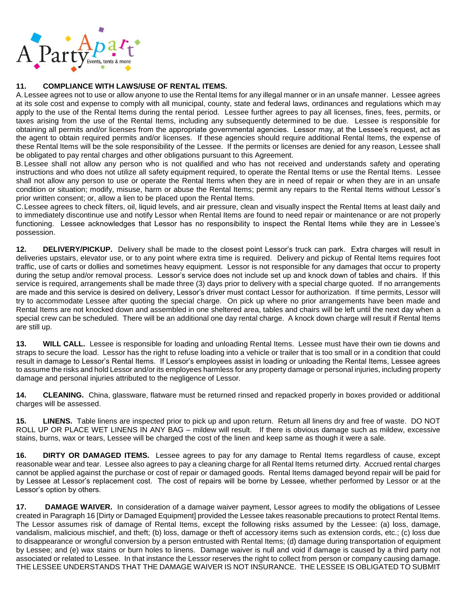

## **11. COMPLIANCE WITH LAWS/USE OF RENTAL ITEMS.**

A. Lessee agrees not to use or allow anyone to use the Rental Items for any illegal manner or in an unsafe manner. Lessee agrees at its sole cost and expense to comply with all municipal, county, state and federal laws, ordinances and regulations which may apply to the use of the Rental Items during the rental period. Lessee further agrees to pay all licenses, fines, fees, permits, or taxes arising from the use of the Rental Items, including any subsequently determined to be due. Lessee is responsible for obtaining all permits and/or licenses from the appropriate governmental agencies. Lessor may, at the Lessee's request, act as the agent to obtain required permits and/or licenses. If these agencies should require additional Rental Items, the expense of these Rental Items will be the sole responsibility of the Lessee. If the permits or licenses are denied for any reason, Lessee shall be obligated to pay rental charges and other obligations pursuant to this Agreement.

B. Lessee shall not allow any person who is not qualified and who has not received and understands safety and operating instructions and who does not utilize all safety equipment required, to operate the Rental Items or use the Rental Items. Lessee shall not allow any person to use or operate the Rental Items when they are in need of repair or when they are in an unsafe condition or situation; modify, misuse, harm or abuse the Rental Items; permit any repairs to the Rental Items without Lessor's prior written consent; or, allow a lien to be placed upon the Rental Items.

C.Lessee agrees to check filters, oil, liquid levels, and air pressure, clean and visually inspect the Rental Items at least daily and to immediately discontinue use and notify Lessor when Rental Items are found to need repair or maintenance or are not properly functioning. Lessee acknowledges that Lessor has no responsibility to inspect the Rental Items while they are in Lessee's possession.

**12. DELIVERY/PICKUP.** Delivery shall be made to the closest point Lessor's truck can park. Extra charges will result in deliveries upstairs, elevator use, or to any point where extra time is required. Delivery and pickup of Rental Items requires foot traffic, use of carts or dollies and sometimes heavy equipment. Lessor is not responsible for any damages that occur to property during the setup and/or removal process. Lessor's service does not include set up and knock down of tables and chairs. If this service is required, arrangements shall be made three (3) days prior to delivery with a special charge quoted. If no arrangements are made and this service is desired on delivery, Lessor's driver must contact Lessor for authorization. If time permits, Lessor will try to accommodate Lessee after quoting the special charge. On pick up where no prior arrangements have been made and Rental Items are not knocked down and assembled in one sheltered area, tables and chairs will be left until the next day when a special crew can be scheduled. There will be an additional one day rental charge. A knock down charge will result if Rental Items are still up.

**13. WILL CALL.** Lessee is responsible for loading and unloading Rental Items. Lessee must have their own tie downs and straps to secure the load. Lessor has the right to refuse loading into a vehicle or trailer that is too small or in a condition that could result in damage to Lessor's Rental Items. If Lessor's employees assist in loading or unloading the Rental Items, Lessee agrees to assume the risks and hold Lessor and/or its employees harmless for any property damage or personal injuries, including property damage and personal injuries attributed to the negligence of Lessor.

**14. CLEANING.** China, glassware, flatware must be returned rinsed and repacked properly in boxes provided or additional charges will be assessed.

**15. LINENS.** Table linens are inspected prior to pick up and upon return. Return all linens dry and free of waste. DO NOT ROLL UP OR PLACE WET LINENS IN ANY BAG – mildew will result. If there is obvious damage such as mildew, excessive stains, burns, wax or tears, Lessee will be charged the cost of the linen and keep same as though it were a sale.

**16. DIRTY OR DAMAGED ITEMS.** Lessee agrees to pay for any damage to Rental Items regardless of cause, except reasonable wear and tear. Lessee also agrees to pay a cleaning charge for all Rental Items returned dirty. Accrued rental charges cannot be applied against the purchase or cost of repair or damaged goods. Rental Items damaged beyond repair will be paid for by Lessee at Lessor's replacement cost. The cost of repairs will be borne by Lessee, whether performed by Lessor or at the Lessor's option by others.

**17. DAMAGE WAIVER.** In consideration of a damage waiver payment, Lessor agrees to modify the obligations of Lessee created in Paragraph 16 [Dirty or Damaged Equipment] provided the Lessee takes reasonable precautions to protect Rental Items. The Lessor assumes risk of damage of Rental Items, except the following risks assumed by the Lessee: (a) loss, damage, vandalism, malicious mischief, and theft; (b) loss, damage or theft of accessory items such as extension cords, etc.; (c) loss due to disappearance or wrongful conversion by a person entrusted with Rental Items; (d) damage during transportation of equipment by Lessee; and (e) wax stains or burn holes to linens. Damage waiver is null and void if damage is caused by a third party not associated or related to Lessee. In that instance the Lessor reserves the right to collect from person or company causing damage. THE LESSEE UNDERSTANDS THAT THE DAMAGE WAIVER IS NOT INSURANCE. THE LESSEE IS OBLIGATED TO SUBMIT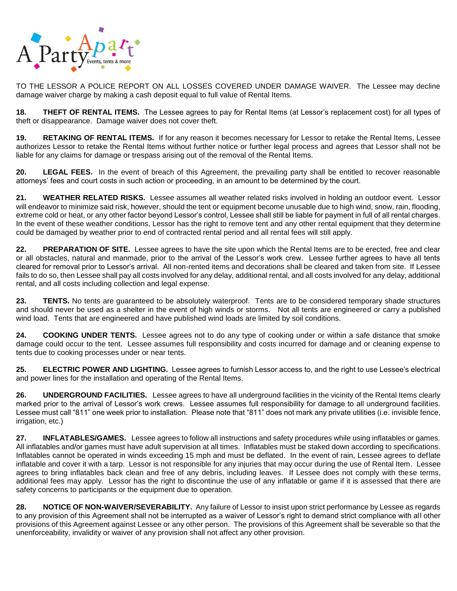

TO THE LESSOR A POLICE REPORT ON ALL LOSSES COVERED UNDER DAMAGE WAIVER. The Lessee may decline damage waiver charge by making a cash deposit equal to full value of Rental Items.

**18. THEFT OF RENTAL ITEMS.** The Lessee agrees to pay for Rental Items (at Lessor's replacement cost) for all types of theft or disappearance. Damage waiver does not cover theft.

**19. RETAKING OF RENTAL ITEMS.** If for any reason it becomes necessary for Lessor to retake the Rental Items, Lessee authorizes Lessor to retake the Rental Items without further notice or further legal process and agrees that Lessor shall not be liable for any claims for damage or trespass arising out of the removal of the Rental Items.

**20. LEGAL FEES.** In the event of breach of this Agreement, the prevailing party shall be entitled to recover reasonable attorneys' fees and court costs in such action or proceeding, in an amount to be determined by the court.

**21. WEATHER RELATED RISKS.** Lessee assumes all weather related risks involved in holding an outdoor event. Lessor will endeavor to minimize said risk, however, should the tent or equipment become unusable due to high wind, snow, rain, flooding, extreme cold or heat, or any other factor beyond Lessor's control, Lessee shall still be liable for payment in full of all rental charges. In the event of these weather conditions, Lessor has the right to remove tent and any other rental equipment that they determine could be damaged by weather prior to end of contracted rental period and all rental fees will still apply.

**22. PREPARATION OF SITE.** Lessee agrees to have the site upon which the Rental Items are to be erected, free and clear or all obstacles, natural and manmade, prior to the arrival of the Lessor's work crew. Lessee further agrees to have all tents cleared for removal prior to Lessor's arrival. All non-rented items and decorations shall be cleared and taken from site. If Lessee fails to do so, then Lessee shall pay all costs involved for any delay, additional rental, and all costs involved for any delay, additional rental, and all costs including collection and legal expense.

**23. TENTS.** No tents are guaranteed to be absolutely waterproof. Tents are to be considered temporary shade structures and should never be used as a shelter in the event of high winds or storms. Not all tents are engineered or carry a published wind load. Tents that are engineered and have published wind loads are limited by soil conditions.

**24. COOKING UNDER TENTS.** Lessee agrees not to do any type of cooking under or within a safe distance that smoke damage could occur to the tent. Lessee assumes full responsibility and costs incurred for damage and or cleaning expense to tents due to cooking processes under or near tents.

**25. ELECTRIC POWER AND LIGHTING.** Lessee agrees to furnish Lessor access to, and the right to use Lessee's electrical and power lines for the installation and operating of the Rental Items.

**26. UNDERGROUND FACILITIES.** Lessee agrees to have all underground facilities in the vicinity of the Rental Items clearly marked prior to the arrival of Lessor's work crews. Lessee assumes full responsibility for damage to all underground facilities. Lessee must call "811" one week prior to installation. Please note that "811" does not mark any private utilities (i.e. invisible fence, irrigation, etc.)

**27. INFLATABLES/GAMES.** Lessee agrees to follow all instructions and safety procedures while using inflatables or games. All inflatables and/or games must have adult supervision at all times. Inflatables must be staked down according to specifications. Inflatables cannot be operated in winds exceeding 15 mph and must be deflated. In the event of rain, Lessee agrees to deflate inflatable and cover it with a tarp. Lessor is not responsible for any injuries that may occur during the use of Rental Item. Lessee agrees to bring inflatables back clean and free of any debris, including leaves. If Lessee does not comply with these terms, additional fees may apply. Lessor has the right to discontinue the use of any inflatable or game if it is assessed that there are safety concerns to participants or the equipment due to operation.

**28. NOTICE OF NON-WAIVER/SEVERABILITY.** Any failure of Lessor to insist upon strict performance by Lessee as regards to any provision of this Agreement shall not be interrupted as a waiver of Lessor's right to demand strict compliance with all other provisions of this Agreement against Lessee or any other person. The provisions of this Agreement shall be severable so that the unenforceability, invalidity or waiver of any provision shall not affect any other provision.